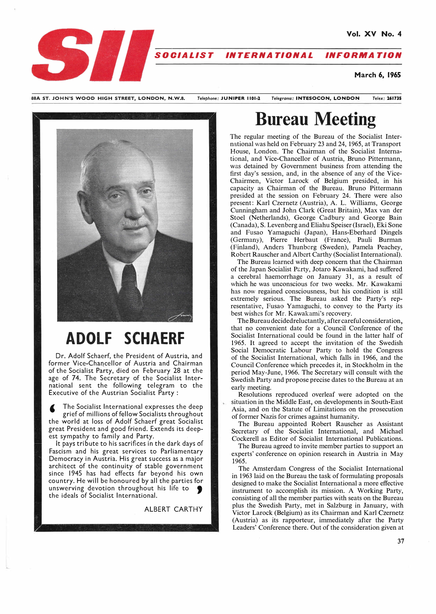

SBA ST. JOHN'S WOOD HIGH STREET, LONDON, N.W.8. *Telephone:* **JUNIPER 1101-2** *Teleirrams:* **INTESOCON, LONDON** *Telex:* **261735** 



# **ADOLF SCHAERF**

Dr. Adolf Schaerf, the President of Austria, and former Vice-Chancellor of Austria and Chairman of the Socialist Party, died on February 28 at the age of 74. The Secretary of the Socialist International sent the following telegram to the Executive of the Austrian Socialist Party :

The Socialist International expresses the deep grief of millions of fellow Socialists throughout the world at loss of Adolf Schaerf great Socialist great President and good friend. Extends its deepest sympathy to family and Party.

It pays tribute to his sacrifices in the dark days of Fascism and his great services to Parliamentary Democracy in Austria. His great success as a major architect of the continuity of stable government since 1945 has had effects far beyond his own country. He will be honoured by all the parties for unswerving devotion throughout his life to  $\bullet$  the ideals of Socialist International.

**ALBERT CARTHY** 

# **Bureau Meeting**

The regular meeting of the Bureau of the Socialist International was held on February 23 and 24, 1965, at Transport House, London. The Chairman of the Socialist International, and Vice-Chancellor of Austria, Bruno Pittermann, was detained by Government business from attending the first day's session, and, in the absence of any of the Vice-Chairmen, Victor Larock of Belgium presided, in his capacity as Chairman of the Bureau. Bruno Pittermann presided at the session on February 24. There were also present: Karl Czernetz (Austria), A. L. Williams, George Cunningham and John Clark (Great Britain), Max van der Stoel (Netherlands), George Cadbury and George Bain (Canada), S. Levenberg and Eliahu Speiser (Israel), Eki Sone and Fusao Yamaguchi (Japan), Hans-Eberhard Dingels (Germany), Pierre Herbaut (France), Pauli Burman (Finland), Anders Thunborg (Sweden), Pamela Peachey, Robert Rauscher and Albert Carthy (Socialist International).

The Bureau learned with deep concern that the Chairman of the Japan Socialist Party, Jotaro Kawakami, had suffered a cerebral haemorrhage on January 31, as a result of which he was unconscious for two weeks. Mr. Kawakami has now regained consciousness, but his condition is still extremely serious. The Bureau asked the Party's representative, Fusao Yamaguchi, to convey to the Party its best wishes for Mr. Kawakami's recovery.

The Bureau decided reluctantly, after careful consideration, that no convenient date for a Council Conference of the Socialist International could be found in the latter half of 1965. It agreed to accept the invitation of the Swedish Social Democratic Labour Party to hold the Congress of the Socialist International, which falls in 1966, and the Council Conference which precedes it, in Stockholm in the period May-June, 1966. The Secretary will consult with the Swedish Party and propose precise dates to the Bureau at an early meeting.

Resolutions reproduced overleaf were adopted on the situation in the Middle East, on developments in South-East Asia, and on the Statute of Limitations on the prosecution of former Nazis for crimes against humanity.

The Bureau appointed Robert Rauscher as Assistant Secretary of the Socialist International, and Michael Cockerell as Editor of Socialist International Publications.

The Bureau agreed to invite member parties to support an experts' conference on opinion research in Austria in May 1965.

The Amsterdam Congress of the Socialist International in 1963 laid on the Bureau the task of formulating proposals designed to make the Socialist International a more effective instrument to accomplish its mission. A Working Party, consisting of all the member parties with seats on the Bureau plus the Swedish Party, met in Salzburg in January, with Victor Larock (Belgium) as its Chairman and Karl Czernetz (Austria) as its rapporteur, immediately after the Party Leaders' Conference there. Out of the consideration given at